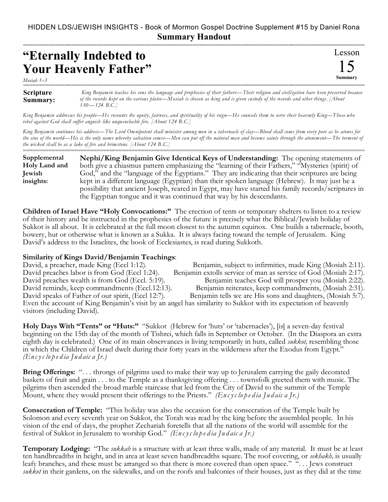## HIDDEN LDS/JEWISH INSIGHTS - Book of Mormon Gospel Doctrine Supplement #15 by Daniel Rona **Summary Handout**

===========================================================================================================

## **"Eternally Indebted to Your Heavenly Father"**

*Mosiah 1–3*

**Scripture Summary:** =========================================================================================================== *King Benjamin teaches his sons the language and prophecies of their fathers—Their religion and civilization have been preserved because of the records kept on the various plates—M osiah is chosen as king and is given custody of the records and other things. [About 130—124 B.C.]*

Lesson

15 **Summary**

*King Benjamin addresses his people—He recounts the equity, fairness, and spirituality of his reign—He counsels them to serve their heavenly King—Those who rebel against God shall suffer anguish like unquenchable fire. [About 124 B.C.]*

*King Benjamin continues his address—The Lord Omnipotent shall minister among men in a tabernacle of clay—Blood shall come from every pore as he atones for the sins of the world—His is the only name whereby salvation comes—Men can put off the natural man and become saints through the atonement—The torment of the wicked shall be as a lake of fire and brimstone. [About 124 B.C.]*

===========================================================================================================

**Nephi/King Benjamin Give Identical Keys of Understanding:** The opening statements of both give a chiasmus pattern emphasizing the "learning of their Fathers," "Mysteries (spirit) of God," and the "language of the Egyptians." They are indicating that their scriptures are being kept in a different language (Egyptian) than their spoken language (Hebrew). It may just be a possibility that ancient Joseph, reared in Egypt, may have started his family records/scriptures in the Egyptian tongue and it was continued that way by his descendants. **Supplemental Holy Land and Jewish insights:**

**Children of Israel Have "Holy Convocations:"** The erection of tents or temporary shelters to listen to a review of their history and be instructed in the prophesies of the future is precisely what the Biblical/Jewish holiday of Sukkot is all about. It is celebrated at the full moon closest to the autumn equinox. One builds a tabernacle, booth, bowery, hut or otherwise what is known as a Sukka. It is always facing toward the temple of Jerusalem. King David's address to the Israelites, the book of Ecclesiastes, is read during Sukkoth.

## **Similarity of Kings David/Benjamin Teachings**:

Benjamin, subject to infirmities, made King (Mosiah 2:11). David preaches labor is from God (Eccl 1:24). Benjamin extolls service of man as service of God (Mosiah 2:17). David preaches wealth is from God (Eccl. 5:19). Benjamin teaches God will prosper you (Mosiah 2:22).<br>David reminds, keep commandments (Eccl.12:13). Benjamin reiterates, keep commandments, (Mosiah 2:31). Benjamin reiterates, keep commandments, (Mosiah 2:31). David speaks of Father of our spirit, (Eccl 12:7). Benjamin tells we are His sons and daughters, (Mosiah 5:7). Even the account of King Benjamin's visit by an angel has similarity to Sukkot with its expectation of heavenly visitors (including David).

**Holy Days With "Tents" or "Huts:"** "Sukkot (Hebrew for 'huts' or 'tabernacles'), [is] a seven-day festival beginning on the 15th day of the month of Tishrei, which falls in September or October. (In the Diaspora an extra eighth day is celebrated.) One of its main observances is living temporarily in huts, called *sukkot,* resembling those in which the Children of Israel dwelt during their forty years in the wilderness after the Exodus from Egypt." *(En c yc lo p e d ia Ju d aic a Jr.)*

**Bring Offerings:** "... throngs of pilgrims used to make their way up to Jerusalem carrying the gaily decorated baskets of fruit and grain . . . to the Temple as a thanksgiving offering . . . townsfolk greeted them with music. The pilgrims then ascended the broad marble staircase that led from the City of David to the summit of the Temple Mount, where they would present their offerings to the Priests." *(En c yc lo p e d ia Ju d aic a Jr.)*

**Consecration of Temple:** "This holiday was also the occasion for the consecration of the Temple built by Solomon and every seventh year on Sukkot, the Torah was read by the king before the assembled people. In his vision of the end of days, the prophet Zechariah foretells that all the nations of the world will assemble for the festival of Sukkot in Jerusalem to worship God." *(En c yc lo p e d ia Ju d aic a Jr.)*

**Temporary Lodging:** "The *sukkah* is a structure with at least three walls, made of any material. It must be at least ten handbreadths in height, and in area at least seven handbreadths square. The roof covering, or *sekhakh,* is usually leafy branches, and these must be arranged so that there is more covered than open space." ". . . Jews construct *sukkot* in their gardens, on the sidewalks, and on the roofs and balconies of their houses, just as they did at the time